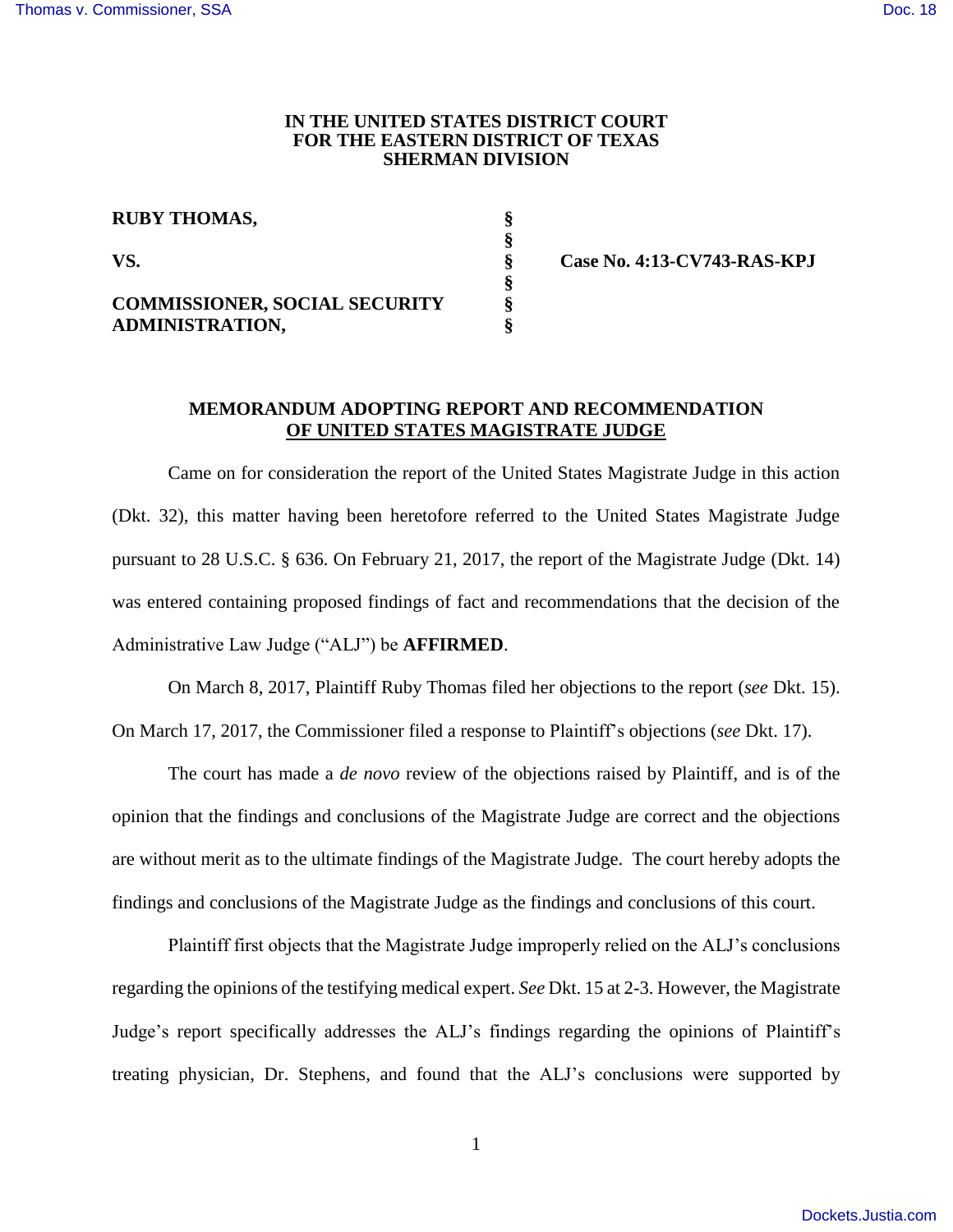## **IN THE UNITED STATES DISTRICT COURT FOR THE EASTERN DISTRICT OF TEXAS SHERMAN DIVISION**

| <b>RUBY THOMAS,</b>                  |  |
|--------------------------------------|--|
|                                      |  |
| VS.                                  |  |
|                                      |  |
| <b>COMMISSIONER, SOCIAL SECURITY</b> |  |
| <b>ADMINISTRATION,</b>               |  |

**VS. § Case No. 4:13-CV743-RAS-KPJ**

## **MEMORANDUM ADOPTING REPORT AND RECOMMENDATION OF UNITED STATES MAGISTRATE JUDGE**

Came on for consideration the report of the United States Magistrate Judge in this action (Dkt. 32), this matter having been heretofore referred to the United States Magistrate Judge pursuant to 28 U.S.C. § 636. On February 21, 2017, the report of the Magistrate Judge (Dkt. 14) was entered containing proposed findings of fact and recommendations that the decision of the Administrative Law Judge ("ALJ") be **AFFIRMED**.

On March 8, 2017, Plaintiff Ruby Thomas filed her objections to the report (*see* Dkt. 15). On March 17, 2017, the Commissioner filed a response to Plaintiff's objections (*see* Dkt. 17).

The court has made a *de novo* review of the objections raised by Plaintiff, and is of the opinion that the findings and conclusions of the Magistrate Judge are correct and the objections are without merit as to the ultimate findings of the Magistrate Judge. The court hereby adopts the findings and conclusions of the Magistrate Judge as the findings and conclusions of this court.

Plaintiff first objects that the Magistrate Judge improperly relied on the ALJ's conclusions regarding the opinions of the testifying medical expert. *See* Dkt. 15 at 2-3. However, the Magistrate Judge's report specifically addresses the ALJ's findings regarding the opinions of Plaintiff's treating physician, Dr. Stephens, and found that the ALJ's conclusions were supported by